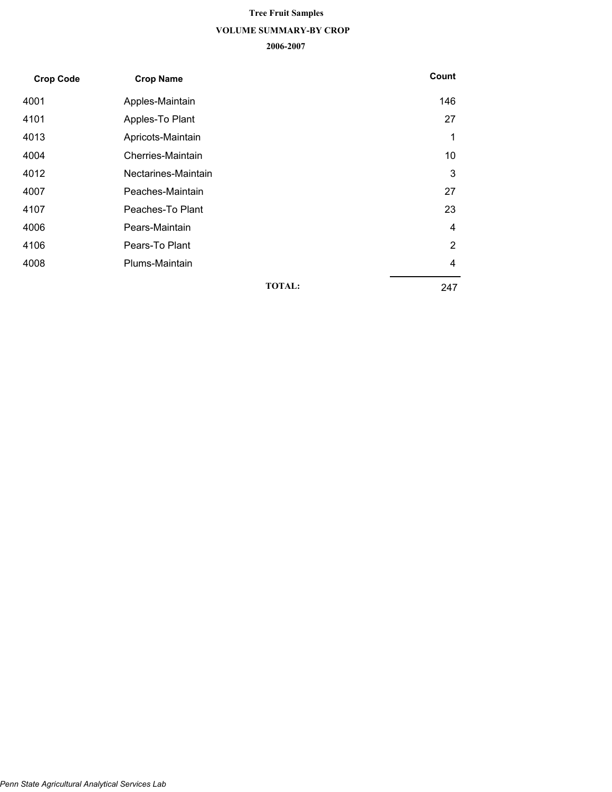# **VOLUME SUMMARY-BY CROP 2006-2007 Tree Fruit Samples**

| <b>Crop Code</b> | <b>Crop Name</b>    | Count         |     |
|------------------|---------------------|---------------|-----|
| 4001             | Apples-Maintain     |               | 146 |
| 4101             | Apples-To Plant     |               | 27  |
| 4013             | Apricots-Maintain   |               | 1   |
| 4004             | Cherries-Maintain   |               | 10  |
| 4012             | Nectarines-Maintain |               | 3   |
| 4007             | Peaches-Maintain    |               | 27  |
| 4107             | Peaches-To Plant    |               | 23  |
| 4006             | Pears-Maintain      |               | 4   |
| 4106             | Pears-To Plant      |               | 2   |
| 4008             | Plums-Maintain      |               | 4   |
|                  |                     | <b>TOTAL:</b> | 247 |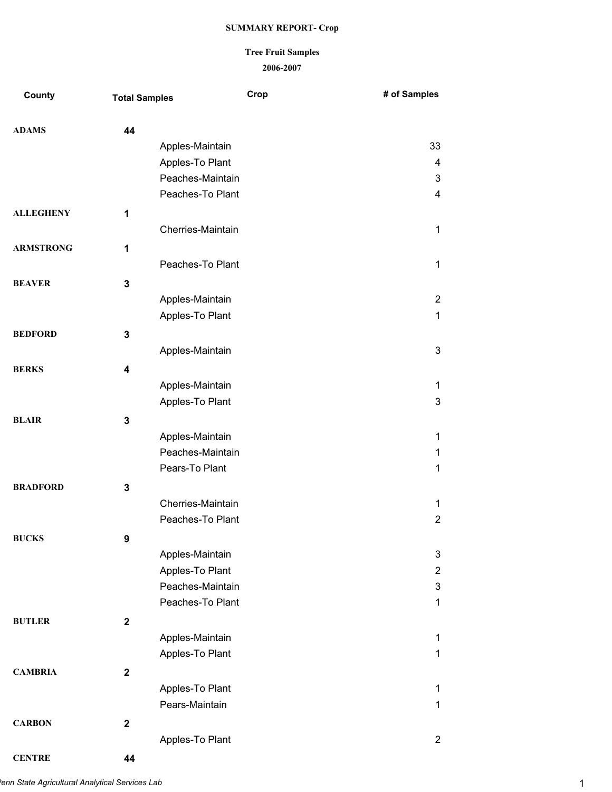### **2006-2007 Tree Fruit Samples**

| County           | <b>Total Samples</b> | Crop              | # of Samples   |
|------------------|----------------------|-------------------|----------------|
| <b>ADAMS</b>     | 44                   |                   |                |
|                  |                      | Apples-Maintain   | 33             |
|                  |                      | Apples-To Plant   | 4              |
|                  |                      | Peaches-Maintain  | 3              |
|                  |                      | Peaches-To Plant  | 4              |
| <b>ALLEGHENY</b> | 1                    |                   |                |
|                  |                      | Cherries-Maintain | 1              |
| <b>ARMSTRONG</b> | 1                    |                   |                |
|                  |                      | Peaches-To Plant  | 1              |
| <b>BEAVER</b>    | $\mathbf 3$          |                   |                |
|                  |                      | Apples-Maintain   | $\overline{2}$ |
|                  |                      | Apples-To Plant   | 1              |
| <b>BEDFORD</b>   | $\mathbf 3$          |                   |                |
|                  |                      | Apples-Maintain   | 3              |
| <b>BERKS</b>     | 4                    |                   |                |
|                  |                      | Apples-Maintain   | 1              |
|                  |                      | Apples-To Plant   | 3              |
| <b>BLAIR</b>     | $\mathbf 3$          |                   |                |
|                  |                      | Apples-Maintain   | 1              |
|                  |                      | Peaches-Maintain  | 1              |
|                  |                      | Pears-To Plant    | 1              |
| <b>BRADFORD</b>  | $\mathbf 3$          |                   |                |
|                  |                      | Cherries-Maintain | 1              |
|                  |                      | Peaches-To Plant  | $\overline{2}$ |
| <b>BUCKS</b>     | 9                    |                   |                |
|                  |                      | Apples-Maintain   | 3              |
|                  |                      | Apples-To Plant   | $\overline{2}$ |
|                  |                      | Peaches-Maintain  | 3              |
|                  |                      | Peaches-To Plant  | 1              |
| <b>BUTLER</b>    | $\mathbf 2$          |                   |                |
|                  |                      | Apples-Maintain   | 1              |
|                  |                      | Apples-To Plant   | 1              |
| <b>CAMBRIA</b>   | $\mathbf 2$          |                   |                |
|                  |                      | Apples-To Plant   | 1              |
|                  |                      | Pears-Maintain    | 1              |
| <b>CARBON</b>    | $\mathbf{2}$         |                   |                |
|                  |                      | Apples-To Plant   | $\overline{2}$ |

**CENTRE 44**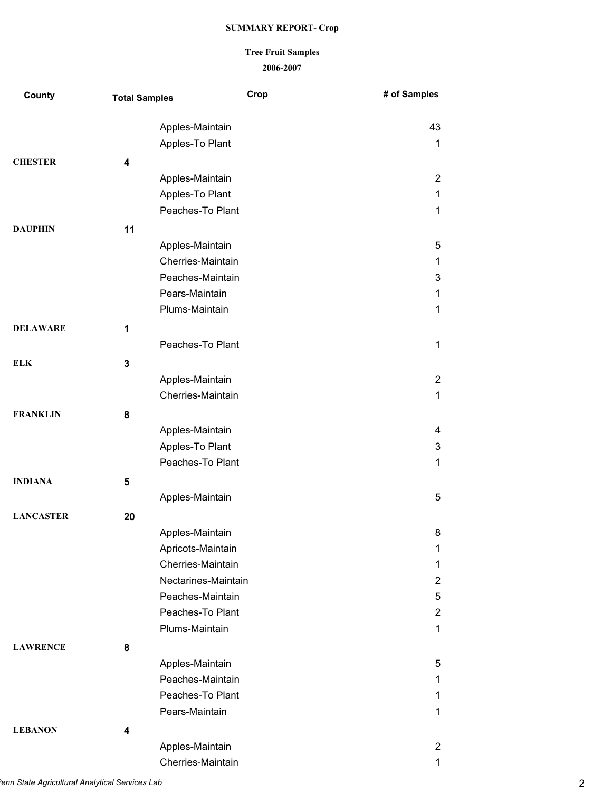# **2006-2007 Tree Fruit Samples**

| County           | <b>Total Samples</b> |                                        | Crop | # of Samples   |
|------------------|----------------------|----------------------------------------|------|----------------|
|                  |                      | Apples-Maintain                        |      | 43             |
|                  |                      | Apples-To Plant                        |      | 1              |
| <b>CHESTER</b>   | 4                    |                                        |      |                |
|                  |                      | Apples-Maintain                        |      | $\overline{2}$ |
|                  |                      | Apples-To Plant                        |      | $\mathbf{1}$   |
|                  |                      | Peaches-To Plant                       |      | 1              |
| <b>DAUPHIN</b>   | 11                   |                                        |      |                |
|                  |                      | Apples-Maintain                        |      | 5              |
|                  |                      | Cherries-Maintain                      |      | 1              |
|                  |                      | Peaches-Maintain                       |      | 3              |
|                  |                      | Pears-Maintain                         |      | 1              |
|                  |                      | Plums-Maintain                         |      | 1              |
| <b>DELAWARE</b>  | 1                    |                                        |      |                |
|                  |                      | Peaches-To Plant                       |      | $\mathbf 1$    |
| <b>ELK</b>       | 3                    |                                        |      |                |
|                  |                      | Apples-Maintain                        |      | $\overline{2}$ |
|                  |                      | Cherries-Maintain                      |      | 1              |
| <b>FRANKLIN</b>  | 8                    |                                        |      |                |
|                  |                      | Apples-Maintain                        |      | 4              |
|                  |                      | Apples-To Plant                        |      | 3              |
|                  |                      | Peaches-To Plant                       |      | 1              |
| <b>INDIANA</b>   | 5                    |                                        |      |                |
|                  |                      | Apples-Maintain                        |      | 5              |
|                  |                      |                                        |      |                |
| <b>LANCASTER</b> | 20                   |                                        |      |                |
|                  |                      | Apples-Maintain                        |      | 8              |
|                  |                      | Apricots-Maintain<br>Cherries-Maintain |      | 1              |
|                  |                      | Nectarines-Maintain                    |      | 1<br>2         |
|                  |                      | Peaches-Maintain                       |      | 5              |
|                  |                      | Peaches-To Plant                       |      | $\overline{2}$ |
|                  |                      | Plums-Maintain                         |      | 1              |
|                  |                      |                                        |      |                |
| <b>LAWRENCE</b>  | 8                    |                                        |      |                |
|                  |                      | Apples-Maintain<br>Peaches-Maintain    |      | 5<br>1         |
|                  |                      | Peaches-To Plant                       |      | 1              |
|                  |                      | Pears-Maintain                         |      | 1              |
|                  |                      |                                        |      |                |
| <b>LEBANON</b>   | 4                    |                                        |      |                |
|                  |                      | Apples-Maintain                        |      | $\overline{2}$ |
|                  |                      | Cherries-Maintain                      |      | 1              |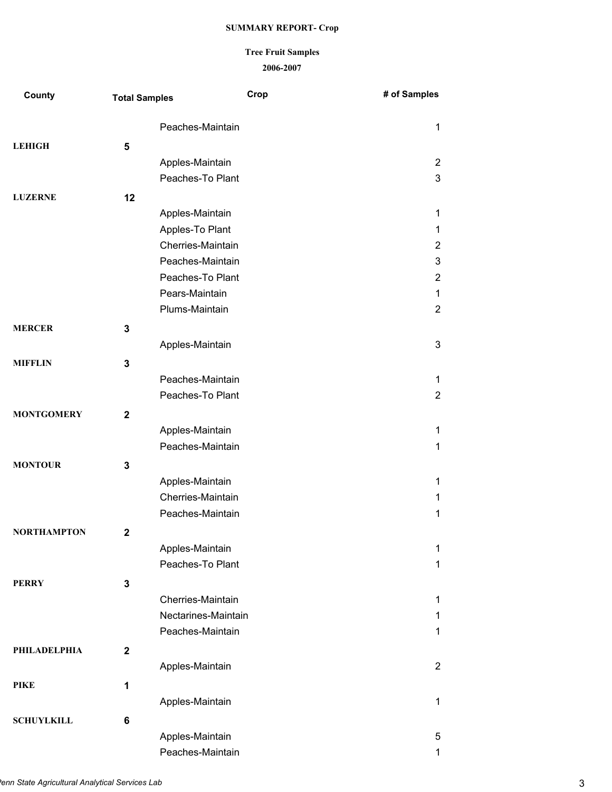#### **2006-2007 Tree Fruit Samples**

| County              | <b>Total Samples</b> |                     | Crop | # of Samples   |
|---------------------|----------------------|---------------------|------|----------------|
|                     |                      | Peaches-Maintain    |      | 1              |
| <b>LEHIGH</b>       | 5                    |                     |      |                |
|                     |                      | Apples-Maintain     |      | $\overline{2}$ |
|                     |                      | Peaches-To Plant    |      | 3              |
| <b>LUZERNE</b>      | 12                   |                     |      |                |
|                     |                      | Apples-Maintain     |      | 1              |
|                     |                      | Apples-To Plant     |      | 1              |
|                     |                      | Cherries-Maintain   |      | $\overline{2}$ |
|                     |                      | Peaches-Maintain    |      | 3              |
|                     |                      | Peaches-To Plant    |      | $\overline{2}$ |
|                     |                      | Pears-Maintain      |      | 1              |
|                     |                      | Plums-Maintain      |      | $\overline{2}$ |
| <b>MERCER</b>       | 3                    |                     |      |                |
|                     |                      | Apples-Maintain     |      | 3              |
| <b>MIFFLIN</b>      | 3                    |                     |      |                |
|                     |                      | Peaches-Maintain    |      | 1              |
|                     |                      | Peaches-To Plant    |      | $\overline{2}$ |
| <b>MONTGOMERY</b>   | $\mathbf{2}$         |                     |      |                |
|                     |                      | Apples-Maintain     |      | 1              |
|                     |                      | Peaches-Maintain    |      | 1              |
| <b>MONTOUR</b>      | 3                    |                     |      |                |
|                     |                      | Apples-Maintain     |      | 1              |
|                     |                      | Cherries-Maintain   |      | 1              |
|                     |                      | Peaches-Maintain    |      | $\mathbf{1}$   |
| <b>NORTHAMPTON</b>  | $\mathbf{2}$         |                     |      |                |
|                     |                      | Apples-Maintain     |      | 1              |
|                     |                      | Peaches-To Plant    |      | 1              |
| <b>PERRY</b>        |                      |                     |      |                |
|                     | 3                    | Cherries-Maintain   |      | 1              |
|                     |                      | Nectarines-Maintain |      | 1              |
|                     |                      | Peaches-Maintain    |      | 1              |
|                     |                      |                     |      |                |
| <b>PHILADELPHIA</b> | $\mathbf{2}$         |                     |      |                |
|                     |                      | Apples-Maintain     |      | $\overline{2}$ |
| <b>PIKE</b>         | 1                    |                     |      |                |
|                     |                      | Apples-Maintain     |      | 1              |
| <b>SCHUYLKILL</b>   | 6                    |                     |      |                |
|                     |                      | Apples-Maintain     |      | 5              |
|                     |                      | Peaches-Maintain    |      | 1              |